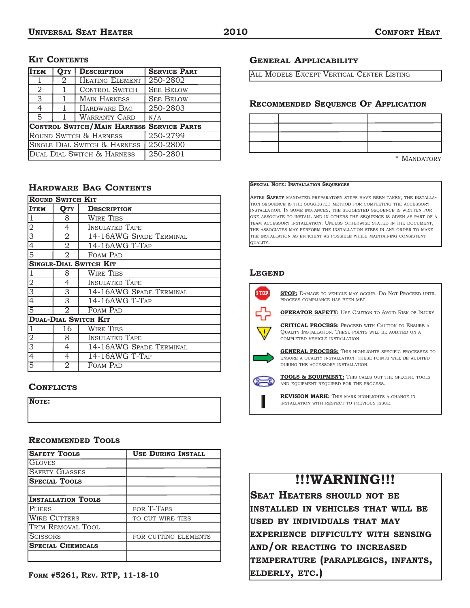#### **KIT CONTENTS**

| <b>ITEM</b>                               | <b>OTY</b> | <b>DESCRIPTION</b>     | <b>SERVICE PART</b> |
|-------------------------------------------|------------|------------------------|---------------------|
|                                           | 2          | <b>HEATING ELEMENT</b> | 250-2802            |
| 2                                         |            | <b>CONTROL SWITCH</b>  | <b>SEE BELOW</b>    |
| 3                                         | 1          | <b>MAIN HARNESS</b>    | <b>SEE BELOW</b>    |
| $\overline{4}$                            |            | HARDWARE BAG           | 250-2803            |
| $\overline{5}$                            |            | <b>WARRANTY CARD</b>   | N/A                 |
| CONTROL SWITCH/MAIN HARNESS SERVICE PARTS |            |                        |                     |
| ROUND SWITCH & HARNESS                    |            |                        | 250-2799            |
| SINGLE DIAL SWITCH & HARNESS              |            |                        | 250-2800            |
| DUAL DIAL SWITCH & HARNESS                |            |                        | 250-2801            |

### **HARDWARE BAG CONTENTS**

| <b>ROUND SWITCH KIT</b> |                             |                               |
|-------------------------|-----------------------------|-------------------------------|
| <b>ITEM</b>             | Отч                         | <b>DESCRIPTION</b>            |
| $\overline{1}$          | 8                           | <b>WIRE TIES</b>              |
| $\frac{2}{3}$           | $\overline{4}$              | <b>INSULATED TAPE</b>         |
|                         | $\overline{2}$              | 14-16AWG SPADE TERMINAL       |
| $\overline{4}$          | $\overline{2}$              | 14-16AWG T-TAP                |
| $\overline{5}$          | $\overline{2}$              | FOAM PAD                      |
|                         |                             | <b>SINGLE-DIAL SWITCH KIT</b> |
| 1                       | 8                           | <b>WIRE TIES</b>              |
| $\frac{2}{3}$           | 4                           | <b>INSULATED TAPE</b>         |
|                         | $\overline{3}$              | 14-16AWG SPADE TERMINAL       |
| $\overline{4}$          | 3                           | 14-16AWG T-TAP                |
| $\overline{5}$          | 2                           | FOAM PAD                      |
|                         | <b>DUAL-DIAL SWITCH KIT</b> |                               |
| 1                       | 16                          | <b>WIRE TIES</b>              |
| $\frac{2}{3}$           | 8                           | <b>INSULATED TAPE</b>         |
|                         | $\overline{4}$              | 14-16AWG SPADE TERMINAL       |
| 4                       | 4                           | 14-16AWG T-TAP                |
|                         | 2                           | FOAM PAD                      |

#### **CONFLICTS**

| <b>NOTE:</b> |  |  |  |
|--------------|--|--|--|
|              |  |  |  |
|              |  |  |  |

#### **RECOMMENDED TOOLS**

| <b>SAFETY TOOLS</b>       | <b>USE DURING INSTALL</b> |
|---------------------------|---------------------------|
| <b>GLOVES</b>             |                           |
| <b>SAFETY GLASSES</b>     |                           |
| <b>SPECIAL TOOLS</b>      |                           |
|                           |                           |
| <b>INSTALLATION TOOLS</b> |                           |
| PLIERS                    | FOR T-TAPS                |
| <b>WIRE CUTTERS</b>       | TO CUT WIRE TIES          |
| TRIM REMOVAL TOOL         |                           |
| <b>SCISSORS</b>           | FOR CUTTING ELEMENTS      |
| <b>SPECIAL CHEMICALS</b>  |                           |
|                           |                           |

#### **GENERAL APPLICABILITY**

ALL MODELS EXCEPT VERTICAL CENTER LISTING

#### **RECOMMENDED SEQUENCE OF APPLICATION**

\* MANDATORY

#### **SPECIAL NOTE: INSTALLATION SEQUENCES**

AFTER **SAFETY** MANDATED PREPARATORY STEPS HAVE BEEN TAKEN, THE INSTALLA-TION SEQUENCE IS THE SUGGESTED METHOD FOR COMPLETING THE ACCESSORY INSTALLATION. IN SOME INSTANCES, THE SUGGESTED SEQUENCE IS WRITTEN FOR ONE ASSOCIATE TO INSTALL AND IN OTHERS THE SEQUENCE IS GIVEN AS PART OF A TEAM ACCESSORY INSTALLATION. UNLESS OTHERWISE STATED IN THE DOCUMENT, THE ASSOCIATES MAY PERFORM THE INSTALLATION STEPS IN ANY ORDER TO MAKE THE INSTALLATION AS EFFICIENT AS POSSIBLE WHILE MAINTAINING CONSISTENT QUALITY.

#### **LEGEND**



**STOP:** DAMAGE TO VEHICLE MAY OCCUR. DO NOT PROCEED UNTIL PROCESS COMPLIANCE HAS BEEN MET.

**OPERATOR SAFETY:** USE CAUTION TO AVOID RISK OF INJURY.



**CRITICAL PROCESS:** PROCEED WITH CAUTION TO ENSURE A QUALITY INSTALLATION. THESE POINTS WILL BE AUDITED ON A COMPLETED VEHICLE INSTALLATION.



**GENERAL PROCESS:** THIS HIGHLIGHTS SPECIFIC PROCESSES TO ENSURE A QUALITY INSTALLATION. THESE POINTS WILL BE AUDITED DURING THE ACCESSORY INSTALLATION.



**TOOLS & EQUIPMENT:** THIS CALLS OUT THE SPECIFIC TOOLS AND EQUIPMENT REQUIRED FOR THE PROCESS.

#### **REVISION MARK:** THIS MARK HIGHLIGHTS A CHANGE IN INSTALLATION WITH RESPECT TO PREVIOUS ISSUE.

### **!!!WARNING!!!**

**SEAT HEATERS SHOULD NOT BE INSTALLED IN VEHICLES THAT WILL BE USED BY INDIVIDUALS THAT MAY EXPERIENCE DIFFICULTY WITH SENSING AND/OR REACTING TO INCREASED TEMPERATURE (PARAPLEGICS, INFANTS, ELDERLY, ETC.)**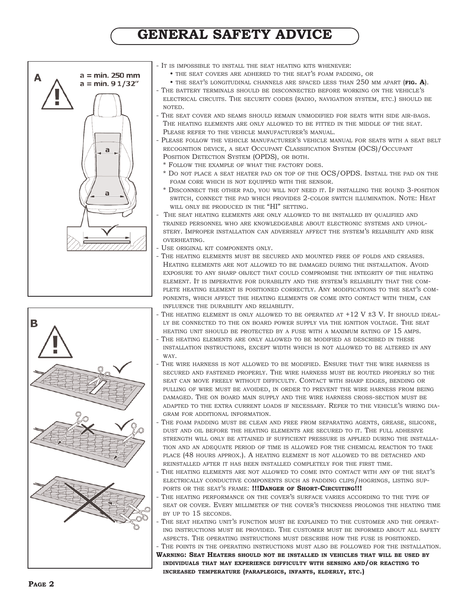## **GENERAL SAFETY ADVICE**





- IT IS IMPOSSIBLE TO INSTALL THE SEAT HEATING KITS WHENEVER:
	- THE SEAT COVERS ARE ADHERED TO THE SEAT'S FOAM PADDING, OR
	- THE SEAT'S LONGITUDINAL CHANNELS ARE SPACED LESS THAN 250 MM APART (**FIG. A**).
- THE BATTERY TERMINALS SHOULD BE DISCONNECTED BEFORE WORKING ON THE VEHICLE'S ELECTRICAL CIRCUITS. THE SECURITY CODES (RADIO, NAVIGATION SYSTEM, ETC.) SHOULD BE NOTED.
- THE SEAT COVER AND SEAMS SHOULD REMAIN UNMODIFIED FOR SEATS WITH SIDE AIR-BAGS. THE HEATING ELEMENTS ARE ONLY ALLOWED TO BE FITTED IN THE MIDDLE OF THE SEAT. PLEASE REFER TO THE VEHICLE MANUFACTURER'S MANUAL.
- PLEASE FOLLOW THE VEHICLE MANUFACTURER'S VEHICLE MANUAL FOR SEATS WITH A SEAT BELT RECOGNITION DEVICE, A SEAT OCCUPANT CLASSIFICATION SYSTEM (OCS)/OCCUPANT POSITION DETECTION SYSTEM (OPDS), OR BOTH.
	- \* FOLLOW THE EXAMPLE OF WHAT THE FACTORY DOES.
	- \* DO NOT PLACE A SEAT HEATER PAD ON TOP OF THE OCS/OPDS. INSTALL THE PAD ON THE FOAM CORE WHICH IS NOT EQUIPPED WITH THE SENSOR.
	- \* DISCONNECT THE OTHER PAD, YOU WILL NOT NEED IT. IF INSTALLING THE ROUND 3-POSITION SWITCH, CONNECT THE PAD WHICH PROVIDES 2-COLOR SWITCH ILLUMINATION. NOTE: HEAT WILL ONLY BE PRODUCED IN THE "HI" SETTING.
- THE SEAT HEATING ELEMENTS ARE ONLY ALLOWED TO BE INSTALLED BY QUALIFIED AND TRAINED PERSONNEL WHO ARE KNOWLEDGEABLE ABOUT ELECTRONIC SYSTEMS AND UPHOL-STERY. IMPROPER INSTALLATION CAN ADVERSELY AFFECT THE SYSTEM'S RELIABILITY AND RISK OVERHEATING.
- USE ORIGINAL KIT COMPONENTS ONLY.
- THE HEATING ELEMENTS MUST BE SECURED AND MOUNTED FREE OF FOLDS AND CREASES. HEATING ELEMENTS ARE NOT ALLOWED TO BE DAMAGED DURING THE INSTALLATION. AVOID EXPOSURE TO ANY SHARP OBJECT THAT COULD COMPROMISE THE INTEGRITY OF THE HEATING ELEMENT. IT IS IMPERATIVE FOR DURABILITY AND THE SYSTEM'S RELIABILITY THAT THE COM-PLETE HEATING ELEMENT IS POSITIONED CORRECTLY. ANY MODIFICATIONS TO THE SEAT'S COM-PONENTS, WHICH AFFECT THE HEATING ELEMENTS OR COME INTO CONTACT WITH THEM, CAN INFLUENCE THE DURABILITY AND RELIABILITY.
- THE HEATING ELEMENT IS ONLY ALLOWED TO BE OPERATED AT  $+12$  V  $\pm 3$  V. It should ideal-LY BE CONNECTED TO THE ON BOARD POWER SUPPLY VIA THE IGNITION VOLTAGE. THE SEAT HEATING UNIT SHOULD BE PROTECTED BY A FUSE WITH A MAXIMUM RATING OF 15 AMPS.
- THE HEATING ELEMENTS ARE ONLY ALLOWED TO BE MODIFIED AS DESCRIBED IN THESE INSTALLATION INSTRUCTIONS, EXCEPT WIDTH WHICH IS NOT ALLOWED TO BE ALTERED IN ANY WAY.
- THE WIRE HARNESS IS NOT ALLOWED TO BE MODIFIED. ENSURE THAT THE WIRE HARNESS IS SECURED AND FASTENED PROPERLY. THE WIRE HARNESS MUST BE ROUTED PROPERLY SO THE SEAT CAN MOVE FREELY WITHOUT DIFFICULTY. CONTACT WITH SHARP EDGES, BENDING OR PULLING OF WIRE MUST BE AVOIDED, IN ORDER TO PREVENT THE WIRE HARNESS FROM BEING DAMAGED. THE ON BOARD MAIN SUPPLY AND THE WIRE HARNESS CROSS-SECTION MUST BE ADAPTED TO THE EXTRA CURRENT LOADS IF NECESSARY. REFER TO THE VEHICLE'S WIRING DIA-GRAM FOR ADDITIONAL INFORMATION.
- THE FOAM PADDING MUST BE CLEAN AND FREE FROM SEPARATING AGENTS, GREASE, SILICONE, DUST AND OIL BEFORE THE HEATING ELEMENTS ARE SECURED TO IT. THE FULL ADHESIVE STRENGTH WILL ONLY BE ATTAINED IF SUFFICIENT PRESSURE IS APPLIED DURING THE INSTALLA-TION AND AN ADEQUATE PERIOD OF TIME IS ALLOWED FOR THE CHEMICAL REACTION TO TAKE PLACE (48 HOURS APPROX.). A HEATING ELEMENT IS NOT ALLOWED TO BE DETACHED AND REINSTALLED AFTER IT HAS BEEN INSTALLED COMPLETELY FOR THE FIRST TIME.
- THE HEATING ELEMENTS ARE NOT ALLOWED TO COME INTO CONTACT WITH ANY OF THE SEAT'S ELECTRICALLY CONDUCTIVE COMPONENTS SUCH AS PADDING CLIPS/HOGRINGS, LISTING SUP-PORTS OR THE SEAT'S FRAME: **!!!DANGER OF SHORT-CIRCUITING!!!**
- THE HEATING PERFORMANCE ON THE COVER'S SURFACE VARIES ACCORDING TO THE TYPE OF SEAT OR COVER. EVERY MILLIMETER OF THE COVER'S THICKNESS PROLONGS THE HEATING TIME BY UP TO 15 SECONDS.
- THE SEAT HEATING UNIT'S FUNCTION MUST BE EXPLAINED TO THE CUSTOMER AND THE OPERAT-ING INSTRUCTIONS MUST BE PROVIDED. THE CUSTOMER MUST BE INFORMED ABOUT ALL SAFETY ASPECTS. THE OPERATING INSTRUCTIONS MUST DESCRIBE HOW THE FUSE IS POSITIONED. THE POINTS IN THE OPERATING INSTRUCTIONS MUST ALSO BE FOLLOWED FOR THE INSTALLATION.
- **WARNING: SEAT HEATERS SHOULD NOT BE INSTALLED IN VEHICLES THAT WILL BE USED BY INDIVIDUALS THAT MAY EXPERIENCE DIFFICULTY WITH SENSING AND/OR REACTING TO INCREASED TEMPERATURE (PARAPLEGICS, INFANTS, ELDERLY, ETC.)**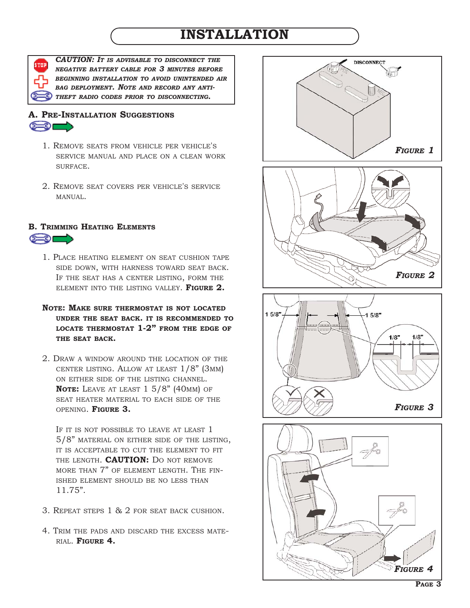## **INSTALLATION**

*CAUTION: IT IS ADVISABLE TO DISCONNECT THE NEGATIVE BATTERY CABLE FOR 3 MINUTES BEFORE BEGINNING INSTALLATION TO AVOID UNINTENDED AIR BAG DEPLOYMENT. NOTE AND RECORD ANY ANTI-THEFT RADIO CODES PRIOR TO DISCONNECTING.* 

### **A. PRE-INSTALLATION SUGGESTIONS**  $\left( \begin{array}{c} 0 \\ 0 \\ 0 \end{array} \right)$

- 1. REMOVE SEATS FROM VEHICLE PER VEHICLE'S SERVICE MANUAL AND PLACE ON A CLEAN WORK SURFACE.
- 2. REMOVE SEAT COVERS PER VEHICLE'S SERVICE MANUAL.

### **B. TRIMMING HEATING ELEMENTS**  $\epsilon$  of  $\epsilon$

- 1. PLACE HEATING ELEMENT ON SEAT CUSHION TAPE SIDE DOWN, WITH HARNESS TOWARD SEAT BACK. IF THE SEAT HAS A CENTER LISTING, FORM THE ELEMENT INTO THE LISTING VALLEY. **FIGURE 2.**
- **NOTE: MAKE SURE THERMOSTAT IS NOT LOCATED UNDER THE SEAT BACK. IT IS RECOMMENDED TO LOCATE THERMOSTAT 1-2" FROM THE EDGE OF THE SEAT BACK.**
- 2. DRAW A WINDOW AROUND THE LOCATION OF THE CENTER LISTING. ALLOW AT LEAST 1/8" (3MM) ON EITHER SIDE OF THE LISTING CHANNEL. **NOTE:** LEAVE AT LEAST 1 5/8" (40MM) OF SEAT HEATER MATERIAL TO EACH SIDE OF THE OPENING. **FIGURE 3.**

IF IT IS NOT POSSIBLE TO LEAVE AT LEAST 1 5/8" MATERIAL ON EITHER SIDE OF THE LISTING, IT IS ACCEPTABLE TO CUT THE ELEMENT TO FIT THE LENGTH. **CAUTION:** DO NOT REMOVE MORE THAN 7" OF ELEMENT LENGTH. THE FIN-ISHED ELEMENT SHOULD BE NO LESS THAN 11.75".

- 3. REPEAT STEPS 1 & 2 FOR SEAT BACK CUSHION.
- 4. TRIM THE PADS AND DISCARD THE EXCESS MATE-RIAL. **FIGURE 4.**

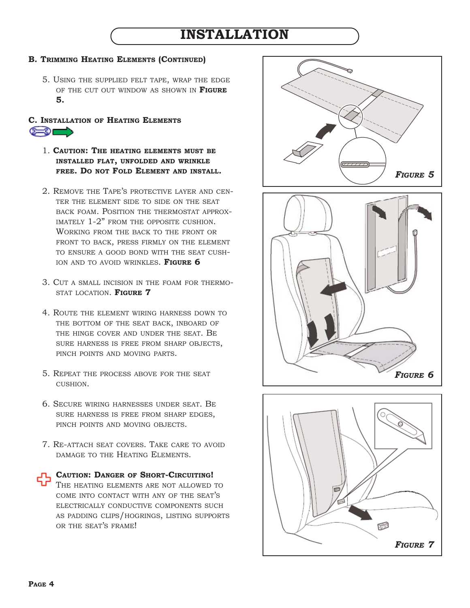### **INSTALLATION**

#### **B. TRIMMING HEATING ELEMENTS (CONTINUED)**

5. USING THE SUPPLIED FELT TAPE, WRAP THE EDGE OF THE CUT OUT WINDOW AS SHOWN IN **FIGURE 5.**

#### **C. INSTALLATION OF HEATING ELEMENTS**  $\epsilon$  of

- 1. **CAUTION: THE HEATING ELEMENTS MUST BE INSTALLED FLAT, UNFOLDED AND WRINKLE FREE. DO NOT FOLD ELEMENT AND INSTALL.**
- 2. REMOVE THE TAPE'S PROTECTIVE LAYER AND CEN-TER THE ELEMENT SIDE TO SIDE ON THE SEAT BACK FOAM. POSITION THE THERMOSTAT APPROX-IMATELY 1-2" FROM THE OPPOSITE CUSHION. WORKING FROM THE BACK TO THE FRONT OR FRONT TO BACK, PRESS FIRMLY ON THE ELEMENT TO ENSURE A GOOD BOND WITH THE SEAT CUSH-ION AND TO AVOID WRINKLES. **FIGURE 6**
- 3. CUT A SMALL INCISION IN THE FOAM FOR THERMO-STAT LOCATION. **FIGURE 7**
- 4. ROUTE THE ELEMENT WIRING HARNESS DOWN TO THE BOTTOM OF THE SEAT BACK, INBOARD OF THE HINGE COVER AND UNDER THE SEAT. BE SURE HARNESS IS FREE FROM SHARP OBJECTS, PINCH POINTS AND MOVING PARTS.
- 5. REPEAT THE PROCESS ABOVE FOR THE SEAT CUSHION.
- 6. SECURE WIRING HARNESSES UNDER SEAT. BE SURE HARNESS IS FREE FROM SHARP EDGES, PINCH POINTS AND MOVING OBJECTS.
- 7. RE-ATTACH SEAT COVERS. TAKE CARE TO AVOID DAMAGE TO THE HEATING ELEMENTS.

**CAUTION: DANGER OF SHORT-CIRCUITING!** THE HEATING ELEMENTS ARE NOT ALLOWED TO COME INTO CONTACT WITH ANY OF THE SEAT'S ELECTRICALLY CONDUCTIVE COMPONENTS SUCH AS PADDING CLIPS/HOGRINGS, LISTING SUPPORTS OR THE SEAT'S FRAME!



*FIGURE 7*

砂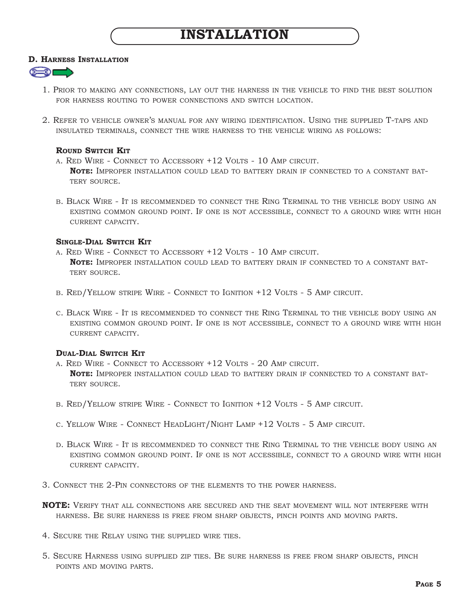#### **D. HARNESS INSTALLATION**



- 1. PRIOR TO MAKING ANY CONNECTIONS, LAY OUT THE HARNESS IN THE VEHICLE TO FIND THE BEST SOLUTION FOR HARNESS ROUTING TO POWER CONNECTIONS AND SWITCH LOCATION.
- 2. REFER TO VEHICLE OWNER'S MANUAL FOR ANY WIRING IDENTIFICATION. USING THE SUPPLIED T-TAPS AND INSULATED TERMINALS, CONNECT THE WIRE HARNESS TO THE VEHICLE WIRING AS FOLLOWS:

#### **ROUND SWITCH KIT**

- A. RED WIRE CONNECT TO ACCESSORY +12 VOLTS 10 AMP CIRCUIT. **NOTE:** IMPROPER INSTALLATION COULD LEAD TO BATTERY DRAIN IF CONNECTED TO A CONSTANT BAT-TERY SOURCE.
- B. BLACK WIRE IT IS RECOMMENDED TO CONNECT THE RING TERMINAL TO THE VEHICLE BODY USING AN EXISTING COMMON GROUND POINT. IF ONE IS NOT ACCESSIBLE, CONNECT TO A GROUND WIRE WITH HIGH CURRENT CAPACITY.

#### **SINGLE-DIAL SWITCH KIT**

- A. RED WIRE CONNECT TO ACCESSORY +12 VOLTS 10 AMP CIRCUIT. **NOTE:** IMPROPER INSTALLATION COULD LEAD TO BATTERY DRAIN IF CONNECTED TO A CONSTANT BAT-TERY SOURCE.
- B. RED/YELLOW STRIPE WIRE CONNECT TO IGNITION +12 VOLTS 5 AMP CIRCUIT.
- C. BLACK WIRE IT IS RECOMMENDED TO CONNECT THE RING TERMINAL TO THE VEHICLE BODY USING AN EXISTING COMMON GROUND POINT. IF ONE IS NOT ACCESSIBLE, CONNECT TO A GROUND WIRE WITH HIGH CURRENT CAPACITY.

#### **DUAL-DIAL SWITCH KIT**

- A. RED WIRE CONNECT TO ACCESSORY +12 VOLTS 20 AMP CIRCUIT. **NOTE:** IMPROPER INSTALLATION COULD LEAD TO BATTERY DRAIN IF CONNECTED TO A CONSTANT BAT-TERY SOURCE.
- B. RED/YELLOW STRIPE WIRE CONNECT TO IGNITION +12 VOLTS 5 AMP CIRCUIT.
- C. YELLOW WIRE CONNECT HEADLIGHT/NIGHT LAMP +12 VOLTS 5 AMP CIRCUIT.
- D. BLACK WIRE IT IS RECOMMENDED TO CONNECT THE RING TERMINAL TO THE VEHICLE BODY USING AN EXISTING COMMON GROUND POINT. IF ONE IS NOT ACCESSIBLE, CONNECT TO A GROUND WIRE WITH HIGH CURRENT CAPACITY.
- 3. CONNECT THE 2-PIN CONNECTORS OF THE ELEMENTS TO THE POWER HARNESS.
- **NOTE:** VERIFY THAT ALL CONNECTIONS ARE SECURED AND THE SEAT MOVEMENT WILL NOT INTERFERE WITH HARNESS. BE SURE HARNESS IS FREE FROM SHARP OBJECTS, PINCH POINTS AND MOVING PARTS.
- 4. SECURE THE RELAY USING THE SUPPLIED WIRE TIES.
- 5. SECURE HARNESS USING SUPPLIED ZIP TIES. BE SURE HARNESS IS FREE FROM SHARP OBJECTS, PINCH POINTS AND MOVING PARTS.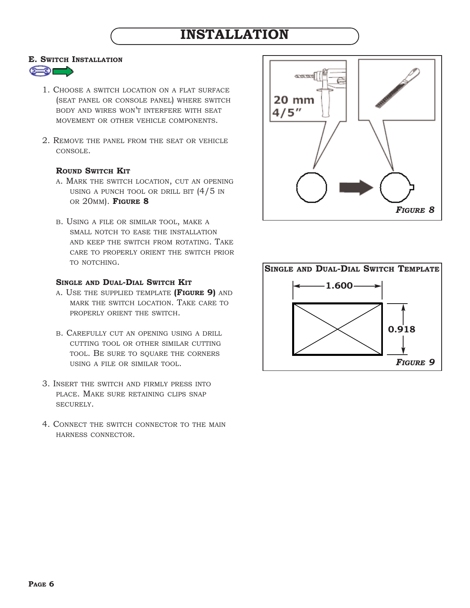## **INSTALLATION**

#### **E. SWITCH INSTALLATION**



- 1. CHOOSE A SWITCH LOCATION ON A FLAT SURFACE (SEAT PANEL OR CONSOLE PANEL) WHERE SWITCH BODY AND WIRES WON'T INTERFERE WITH SEAT MOVEMENT OR OTHER VEHICLE COMPONENTS.
- 2. REMOVE THE PANEL FROM THE SEAT OR VEHICLE CONSOLE.

#### **ROUND SWITCH KIT**

- A. MARK THE SWITCH LOCATION, CUT AN OPENING USING A PUNCH TOOL OR DRILL BIT (4/5 IN OR 20MM). **FIGURE 8**
- B. USING A FILE OR SIMILAR TOOL, MAKE A SMALL NOTCH TO EASE THE INSTALLATION AND KEEP THE SWITCH FROM ROTATING. TAKE CARE TO PROPERLY ORIENT THE SWITCH PRIOR TO NOTCHING.

#### **SINGLE AND DUAL-DIAL SWITCH KIT**

- A. USE THE SUPPLIED TEMPLATE **(FIGURE 9)** AND MARK THE SWITCH LOCATION. TAKE CARE TO PROPERLY ORIENT THE SWITCH.
- B. CAREFULLY CUT AN OPENING USING A DRILL CUTTING TOOL OR OTHER SIMILAR CUTTING TOOL. BE SURE TO SQUARE THE CORNERS USING A FILE OR SIMILAR TOOL.
- 3. INSERT THE SWITCH AND FIRMLY PRESS INTO PLACE. MAKE SURE RETAINING CLIPS SNAP SECURELY.
- 4. CONNECT THE SWITCH CONNECTOR TO THE MAIN HARNESS CONNECTOR.



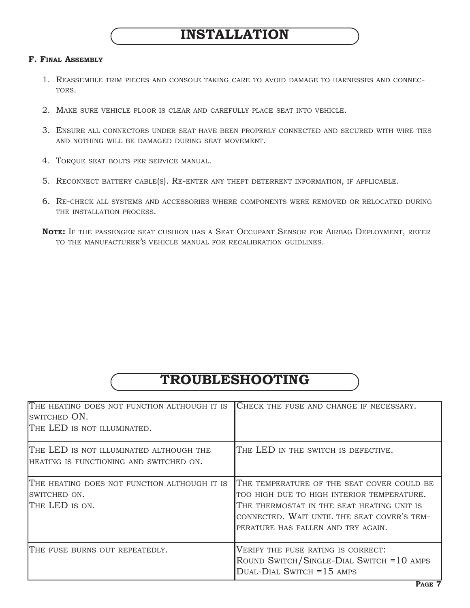#### **F. FINAL ASSEMBLY**

- 1. REASSEMBLE TRIM PIECES AND CONSOLE TAKING CARE TO AVOID DAMAGE TO HARNESSES AND CONNEC-TORS.
- 2. MAKE SURE VEHICLE FLOOR IS CLEAR AND CAREFULLY PLACE SEAT INTO VEHICLE.
- 3. ENSURE ALL CONNECTORS UNDER SEAT HAVE BEEN PROPERLY CONNECTED AND SECURED WITH WIRE TIES AND NOTHING WILL BE DAMAGED DURING SEAT MOVEMENT.
- 4. TORQUE SEAT BOLTS PER SERVICE MANUAL.
- 5. RECONNECT BATTERY CABLE(S). RE-ENTER ANY THEFT DETERRENT INFORMATION, IF APPLICABLE.
- 6. RE-CHECK ALL SYSTEMS AND ACCESSORIES WHERE COMPONENTS WERE REMOVED OR RELOCATED DURING THE INSTALLATION PROCESS.
- **NOTE:** IF THE PASSENGER SEAT CUSHION HAS A SEAT OCCUPANT SENSOR FOR AIRBAG DEPLOYMENT, REFER TO THE MANUFACTURER'S VEHICLE MANUAL FOR RECALIBRATION GUIDLINES.

### **TROUBLESHOOTING**

| THE HEATING DOES NOT FUNCTION ALTHOUGH IT IS<br>SWITCHED ON.<br>THE LED IS NOT ILLUMINATED. | CHECK THE FUSE AND CHANGE IF NECESSARY.                                                                                                                                                                                     |
|---------------------------------------------------------------------------------------------|-----------------------------------------------------------------------------------------------------------------------------------------------------------------------------------------------------------------------------|
| THE LED IS NOT ILLUMINATED ALTHOUGH THE<br>HEATING IS FUNCTIONING AND SWITCHED ON.          | THE LED IN THE SWITCH IS DEFECTIVE.                                                                                                                                                                                         |
| THE HEATING DOES NOT FUNCTION ALTHOUGH IT IS<br>ISWITCHED ON.<br>ITHE LED IS ON.            | THE TEMPERATURE OF THE SEAT COVER COULD BE<br>TOO HIGH DUE TO HIGH INTERIOR TEMPERATURE.<br>THE THERMOSTAT IN THE SEAT HEATING UNIT IS<br>CONNECTED. WAIT UNTIL THE SEAT COVER'S TEM-<br>PERATURE HAS FALLEN AND TRY AGAIN. |
| THE FUSE BURNS OUT REPEATEDLY.                                                              | VERIFY THE FUSE RATING IS CORRECT:<br>ROUND SWITCH/SINGLE-DIAL SWITCH = 10 AMPS<br>$DUAL-DIAL$ Switch = 15 AMPS                                                                                                             |